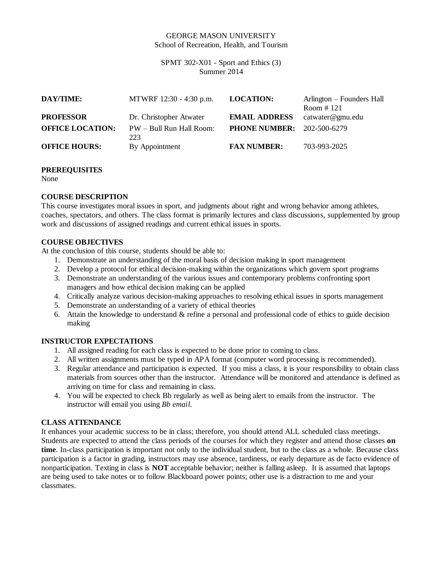## GEORGE MASON UNIVERSITY School of Recreation, Health, and Tourism

SPMT 302-X01 - Sport and Ethics (3) Summer 2014

| <b>DAY/TIME:</b>        | MTWRF 12:30 - 4:30 p.m.         | <b>LOCATION:</b>                  | Arlington – Founders Hall<br>Room $#121$ |
|-------------------------|---------------------------------|-----------------------------------|------------------------------------------|
| <b>PROFESSOR</b>        | Dr. Christopher Atwater         | <b>EMAIL ADDRESS</b>              | catwater@gmu.edu                         |
| <b>OFFICE LOCATION:</b> | PW - Bull Run Hall Room:<br>223 | <b>PHONE NUMBER:</b> 202-500-6279 |                                          |
| <b>OFFICE HOURS:</b>    | By Appointment                  | <b>FAX NUMBER:</b>                | 703-993-2025                             |

#### **PREREQUISITES**

None

# **COURSE DESCRIPTION**

This course investigates moral issues in sport, and judgments about right and wrong behavior among athletes, coaches, spectators, and others. The class format is primarily lectures and class discussions, supplemented by group work and discussions of assigned readings and current ethical issues in sports.

# **COURSE OBJECTIVES**

At the conclusion of this course, students should be able to:

- 1. Demonstrate an understanding of the moral basis of decision making in sport management
- 2. Develop a protocol for ethical decision-making within the organizations which govern sport programs
- 3. Demonstrate an understanding of the various issues and contemporary problems confronting sport managers and how ethical decision making can be applied
- 4. Critically analyze various decision-making approaches to resolving ethical issues in sports management
- 5. Demonstrate an understanding of a variety of ethical theories
- 6. Attain the knowledge to understand & refine a personal and professional code of ethics to guide decision making

## **INSTRUCTOR EXPECTATIONS**

- 1. All assigned reading for each class is expected to be done prior to coming to class.
- 2. All written assignments must be typed in APA format (computer word processing is recommended).
- 3. Regular attendance and participation is expected. If you miss a class, it is your responsibility to obtain class materials from sources other than the instructor. Attendance will be monitored and attendance is defined as arriving on time for class and remaining in class.
- 4. You will be expected to check Bb regularly as well as being alert to emails from the instructor. The instructor will email you using *Bb email.*

## **CLASS ATTENDANCE**

It enhances your academic success to be in class; therefore, you should attend ALL scheduled class meetings. Students are expected to attend the class periods of the courses for which they register and attend those classes **on time**. In-class participation is important not only to the individual student, but to the class as a whole. Because class participation is a factor in grading, instructors may use absence, tardiness, or early departure as de facto evidence of nonparticipation. Texting in class is **NOT** acceptable behavior; neither is falling asleep. It is assumed that laptops are being used to take notes or to follow Blackboard power points; other use is a distraction to me and your classmates.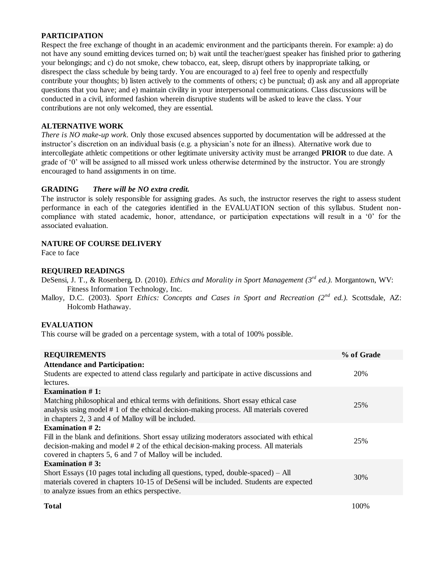# **PARTICIPATION**

Respect the free exchange of thought in an academic environment and the participants therein. For example: a) do not have any sound emitting devices turned on; b) wait until the teacher/guest speaker has finished prior to gathering your belongings; and c) do not smoke, chew tobacco, eat, sleep, disrupt others by inappropriate talking, or disrespect the class schedule by being tardy. You are encouraged to a) feel free to openly and respectfully contribute your thoughts; b) listen actively to the comments of others; c) be punctual; d) ask any and all appropriate questions that you have; and e) maintain civility in your interpersonal communications. Class discussions will be conducted in a civil, informed fashion wherein disruptive students will be asked to leave the class. Your contributions are not only welcomed, they are essential.

## **ALTERNATIVE WORK**

*There is NO make-up work*. Only those excused absences supported by documentation will be addressed at the instructor's discretion on an individual basis (e.g. a physician's note for an illness). Alternative work due to intercollegiate athletic competitions or other legitimate university activity must be arranged **PRIOR** to due date. A grade of '0' will be assigned to all missed work unless otherwise determined by the instructor. You are strongly encouraged to hand assignments in on time.

# **GRADING** *There will be NO extra credit.*

The instructor is solely responsible for assigning grades. As such, the instructor reserves the right to assess student performance in each of the categories identified in the EVALUATION section of this syllabus. Student noncompliance with stated academic, honor, attendance, or participation expectations will result in a '0' for the associated evaluation.

# **NATURE OF COURSE DELIVERY**

Face to face

## **REQUIRED READINGS**

- DeSensi, J. T., & Rosenberg, D. (2010). *Ethics and Morality in Sport Management (3rd ed.).* Morgantown, WV: Fitness Information Technology, Inc.
- Malloy, D.C. (2003). *Sport Ethics: Concepts and Cases in Sport and Recreation (2nd ed.).* Scottsdale, AZ: Holcomb Hathaway.

## **EVALUATION**

This course will be graded on a percentage system, with a total of 100% possible.

| <b>REQUIREMENTS</b>                                                                         | % of Grade |
|---------------------------------------------------------------------------------------------|------------|
| <b>Attendance and Participation:</b>                                                        |            |
| Students are expected to attend class regularly and participate in active discussions and   | 20%        |
| lectures.                                                                                   |            |
| Examination $#1$ :                                                                          |            |
| Matching philosophical and ethical terms with definitions. Short essay ethical case         | 25%        |
| analysis using model #1 of the ethical decision-making process. All materials covered       |            |
| in chapters 2, 3 and 4 of Malloy will be included.                                          |            |
| Examination $#2$ :                                                                          |            |
| Fill in the blank and definitions. Short essay utilizing moderators associated with ethical | 25%        |
| decision-making and model #2 of the ethical decision-making process. All materials          |            |
| covered in chapters 5, 6 and 7 of Malloy will be included.                                  |            |
| <b>Examination #3:</b>                                                                      |            |
| Short Essays (10 pages total including all questions, typed, double-spaced) $-$ All         | 30%        |
| materials covered in chapters 10-15 of DeSensi will be included. Students are expected      |            |
| to analyze issues from an ethics perspective.                                               |            |
|                                                                                             |            |
| <b>Total</b>                                                                                | 100\%      |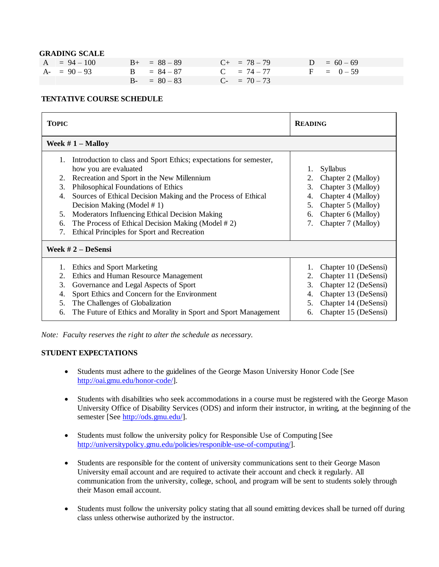#### **GRADING SCALE**

| $A = 94 - 100$ | $B_{+} = 88 - 89$ | $C_{+}$ = 78 - 79 | $D = 60 - 69$ |
|----------------|-------------------|-------------------|---------------|
| $A - 90 - 93$  | $B = 84 - 87$     | $C = 74 - 77$     | $F = 0-59$    |
|                | $B - = 80 - 83$   | $C- = 70-73$      |               |

#### **TENTATIVE COURSE SCHEDULE**

| <b>TOPIC</b>                           |                                                                                                                                                                                                                                                                                                                                                                                                                                       | <b>READING</b>                                                                                                                                                                         |  |  |  |  |
|----------------------------------------|---------------------------------------------------------------------------------------------------------------------------------------------------------------------------------------------------------------------------------------------------------------------------------------------------------------------------------------------------------------------------------------------------------------------------------------|----------------------------------------------------------------------------------------------------------------------------------------------------------------------------------------|--|--|--|--|
| Week $# 1 -$ Malloy                    |                                                                                                                                                                                                                                                                                                                                                                                                                                       |                                                                                                                                                                                        |  |  |  |  |
| 1.<br>2.<br>3.<br>4.<br>5.<br>6.<br>7. | Introduction to class and Sport Ethics; expectations for semester,<br>how you are evaluated<br>Recreation and Sport in the New Millennium<br>Philosophical Foundations of Ethics<br>Sources of Ethical Decision Making and the Process of Ethical<br>Decision Making (Model #1)<br>Moderators Influencing Ethical Decision Making<br>The Process of Ethical Decision Making (Model #2)<br>Ethical Principles for Sport and Recreation | Syllabus<br>1.<br>Chapter 2 (Malloy)<br>2.<br>Chapter 3 (Malloy)<br>3.<br>Chapter 4 (Malloy)<br>4.<br>Chapter 5 (Malloy)<br>5.<br>Chapter 6 (Malloy)<br>6.<br>Chapter 7 (Malloy)<br>7. |  |  |  |  |
| Week $# 2 - Desensi$                   |                                                                                                                                                                                                                                                                                                                                                                                                                                       |                                                                                                                                                                                        |  |  |  |  |
| 1.<br>2.<br>3.<br>4.<br>5.<br>6.       | Ethics and Sport Marketing<br>Ethics and Human Resource Management<br>Governance and Legal Aspects of Sport<br>Sport Ethics and Concern for the Environment<br>The Challenges of Globalization<br>The Future of Ethics and Morality in Sport and Sport Management                                                                                                                                                                     | Chapter 10 (DeSensi)<br>1.<br>Chapter 11 (DeSensi)<br>2.<br>3.<br>Chapter 12 (DeSensi)<br>Chapter 13 (DeSensi)<br>4.<br>Chapter 14 (DeSensi)<br>5.<br>Chapter 15 (DeSensi)<br>6.       |  |  |  |  |

*Note: Faculty reserves the right to alter the schedule as necessary.*

## **STUDENT EXPECTATIONS**

- Students must adhere to the guidelines of the George Mason University Honor Code [See [http://oai.gmu.edu/honor-code/\]](http://oai.gmu.edu/honor-code/).
- Students with disabilities who seek accommodations in a course must be registered with the George Mason University Office of Disability Services (ODS) and inform their instructor, in writing, at the beginning of the semester [See [http://ods.gmu.edu/\]](http://ods.gmu.edu/).
- Students must follow the university policy for Responsible Use of Computing [See [http://universitypolicy.gmu.edu/policies/responible-use-of-computing/](http://universitypolicy.gmu.edu/policies/responible-use-of-computing)].
- Students are responsible for the content of university communications sent to their George Mason University email account and are required to activate their account and check it regularly. All communication from the university, college, school, and program will be sent to students solely through their Mason email account.
- Students must follow the university policy stating that all sound emitting devices shall be turned off during class unless otherwise authorized by the instructor.